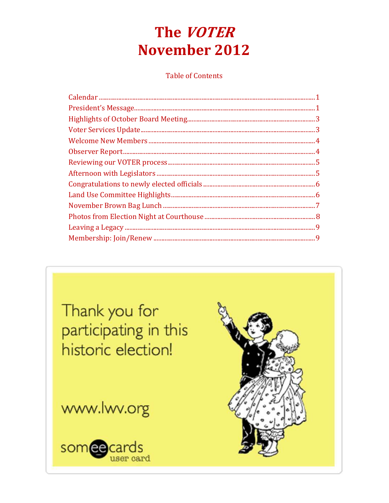# The VOTER **November 2012**

**Table of Contents** 

Thank you for participating in this historic election!

www.lwv.org



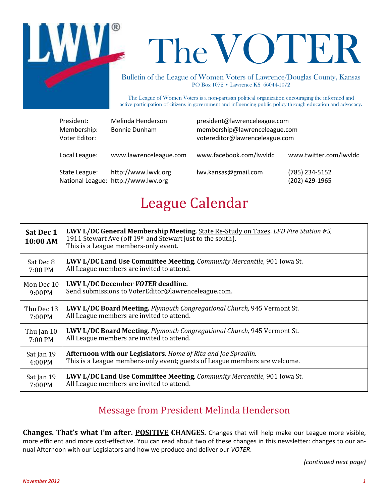

# TheVOTER

Bulletin of the League of Women Voters of Lawrence/Douglas County, Kansas PO Box 1072 • Lawrence KS 66044-1072

The League of Women Voters is a non-partisan political organization encouraging the informed and active participation of citizens in government and influencing public policy through education and advocacy.

| President:<br>Membership:<br>Voter Editor: | Melinda Henderson<br><b>Bonnie Dunham</b>                  | president@lawrenceleague.com<br>membership@lawrenceleague.com<br>votereditor@lawrenceleague.com |                                  |
|--------------------------------------------|------------------------------------------------------------|-------------------------------------------------------------------------------------------------|----------------------------------|
| Local League:                              | www.lawrenceleague.com                                     | www.facebook.com/lwvldc                                                                         | www.twitter.com/lwvldc           |
| State League:                              | http://www.lwvk.org<br>National League: http://www.lwv.org | lwv.kansas@gmail.com                                                                            | (785) 234-5152<br>(202) 429-1965 |

# League Calendar

| Sat Dec 1<br>10:00 AM | <b>LWV L/DC General Membership Meeting.</b> State Re-Study on Taxes. LFD Fire Station #5,<br>1911 Stewart Ave (off 19th and Stewart just to the south).<br>This is a League members-only event. |  |
|-----------------------|-------------------------------------------------------------------------------------------------------------------------------------------------------------------------------------------------|--|
| Sat Dec 8             | <b>LWV L/DC Land Use Committee Meeting.</b> Community Mercantile, 901 Iowa St.                                                                                                                  |  |
| 7:00 PM               | All League members are invited to attend.                                                                                                                                                       |  |
| Mon Dec 10            | LWV L/DC December VOTER deadline.                                                                                                                                                               |  |
| 9:00PM                | Send submissions to VoterEditor@lawrenceleague.com.                                                                                                                                             |  |
| Thu Dec 13            | <b>LWV L/DC Board Meeting.</b> <i>Plymouth Congregational Church</i> , 945 Vermont St.                                                                                                          |  |
| 7:00PM                | All League members are invited to attend.                                                                                                                                                       |  |
| Thu Jan 10            | LWV L/DC Board Meeting. Plymouth Congregational Church, 945 Vermont St.                                                                                                                         |  |
| 7:00 PM               | All League members are invited to attend.                                                                                                                                                       |  |
| Sat Jan 19            | <b>Afternoon with our Legislators.</b> Home of Rita and Joe Spradlin.                                                                                                                           |  |
| 4:00PM                | This is a League members-only event; guests of League members are welcome.                                                                                                                      |  |
| Sat Jan 19            | <b>LWV L/DC Land Use Committee Meeting.</b> <i>Community Mercantile</i> , 901 Iowa St.                                                                                                          |  |
| 7:00PM                | All League members are invited to attend.                                                                                                                                                       |  |

## Message from President Melinda Henderson

**Changes. That's what I'm after. POSITIVE CHANGES.** Changes that will help make our League more visible, more efficient and more cost-effective. You can read about two of these changes in this newsletter: changes to our annual Afternoon with our Legislators and how we produce and deliver our *VOTER*.

 $\_$  , and the set of the set of the set of the set of the set of the set of the set of the set of the set of the set of the set of the set of the set of the set of the set of the set of the set of the set of the set of th

*(continued next page)*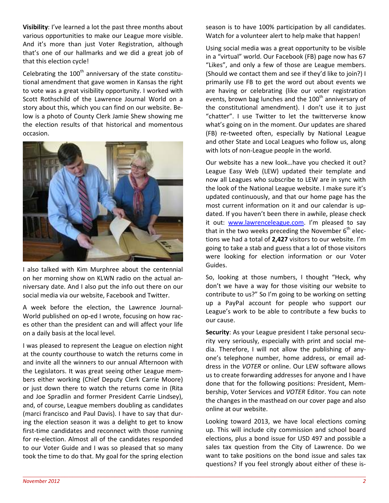**Visibility**: I've learned a lot the past three months about various opportunities to make our League more visible. And it's more than just Voter Registration, although that's one of our hallmarks and we did a great job of that this election cycle!

Celebrating the  $100<sup>th</sup>$  anniversary of the state constitutional amendment that gave women in Kansas the right to vote was a great visibility opportunity. I worked with Scott Rothschild of the Lawrence Journal World on a story about this, which you can find on our website. Below is a photo of County Clerk Jamie Shew showing me the election results of that historical and momentous occasion.



I also talked with Kim Murphree about the centennial on her morning show on KLWN radio on the actual anniversary date. And I also put the info out there on our social media via our website, Facebook and Twitter.

A week before the election, the Lawrence Journal-World published on op-ed I wrote, focusing on how races other than the president can and will affect your life on a daily basis at the local level.

I was pleased to represent the League on election night at the county courthouse to watch the returns come in and invite all the winners to our annual Afternoon with the Legislators. It was great seeing other League members either working (Chief Deputy Clerk Carrie Moore) or just down there to watch the returns come in (Rita and Joe Spradlin and former President Carrie Lindsey), and, of course, League members doubling as candidates (marci francisco and Paul Davis). I have to say that during the election season it was a delight to get to know first-time candidates and reconnect with those running for re-election. Almost all of the candidates responded to our Voter Guide and I was so pleased that so many took the time to do that. My goal for the spring election

season is to have 100% participation by all candidates. Watch for a volunteer alert to help make that happen!

Using social media was a great opportunity to be visible in a "virtual" world. Our Facebook (FB) page now has 67 "Likes", and only a few of those are League members. (Should we contact them and see if they'd like to join?) I primarily use FB to get the word out about events we are having or celebrating (like our voter registration events, brown bag lunches and the  $100<sup>th</sup>$  anniversary of the constitutional amendment). I don't use it to just "chatter". I use Twitter to let the twitterverse know what's going on in the moment. Our updates are shared (FB) re-tweeted often, especially by National League and other State and Local Leagues who follow us, along with lots of non-League people in the world.

Our website has a new look…have you checked it out? League Easy Web (LEW) updated their template and now all Leagues who subscribe to LEW are in sync with the look of the National League website. I make sure it's updated continuously, and that our home page has the most current information on it and our calendar is updated. If you haven't been there in awhile, please check it out: www.lawrenceleague.com. I'm pleased to say that in the two weeks preceding the November  $6<sup>th</sup>$  elections we had a total of **2,427** visitors to our website. I'm going to take a stab and guess that a lot of those visitors were looking for election information or our Voter Guides.

So, looking at those numbers, I thought "Heck, why don't we have a way for those visiting our website to contribute to us?" So I'm going to be working on setting up a PayPal account for people who support our League's work to be able to contribute a few bucks to our cause.

**Security**: As your League president I take personal security very seriously, especially with print and social media. Therefore, I will not allow the publishing of anyone's telephone number, home address, or email address in the *VOTER* or online. Our LEW software allows us to create forwarding addresses for anyone and I have done that for the following positions: President, Membership, Voter Services and *VOTER* Editor. You can note the changes in the masthead on our cover page and also online at our website.

Looking toward 2013, we have local elections coming up. This will include city commission and school board elections, plus a bond issue for USD 497 and possible a sales tax question from the City of Lawrence. Do we want to take positions on the bond issue and sales tax questions? If you feel strongly about either of these is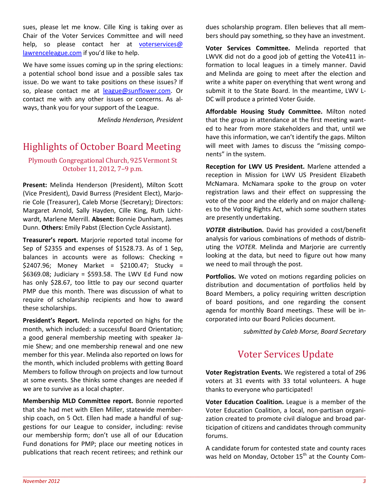sues, please let me know. Cille King is taking over as Chair of the Voter Services Committee and will need help, so please contact her at voterservices@ lawrenceleague.com if you'd like to help.

We have some issues coming up in the spring elections: a potential school bond issue and a possible sales tax issue. Do we want to take positions on these issues? If so, please contact me at league@sunflower.com. Or contact me with any other issues or concerns. As always, thank you for your support of the League.

*Melinda Henderson, President* 

## Highlights of October Board Meeting

#### Plymouth Congregational Church, 925 Vermont St October 11, 2012, 7–9 p.m.

**Present:** Melinda Henderson (President), Milton Scott (Vice President), David Burress (President Elect), Marjorie Cole (Treasurer), Caleb Morse (Secretary); Directors: Margaret Arnold, Sally Hayden, Cille King, Ruth Lichtwardt, Marlene Merrill. **Absent:** Bonnie Dunham, James Dunn. **Others:** Emily Pabst (Election Cycle Assistant).

**Treasurer's report.** Marjorie reported total income for Sep of \$2355 and expenses of \$1528.73. As of 1 Sep, balances in accounts were as follows: Checking = \$2407.96; Money Market = \$2100.47; Stucky = \$6369.08; Judiciary = \$593.58. The LWV Ed Fund now has only \$28.67, too little to pay our second quarter PMP due this month. There was discussion of what to require of scholarship recipients and how to award these scholarships.

**President's Report.** Melinda reported on highs for the month, which included: a successful Board Orientation; a good general membership meeting with speaker Jamie Shew; and one membership renewal and one new member for this year. Melinda also reported on lows for the month, which included problems with getting Board Members to follow through on projects and low turnout at some events. She thinks some changes are needed if we are to survive as a local chapter.

**Membership MLD Committee report.** Bonnie reported that she had met with Ellen Miller, statewide membership coach, on 5 Oct. Ellen had made a handful of suggestions for our League to consider, including: revise our membership form; don't use all of our Education Fund donations for PMP; place our meeting notices in publications that reach recent retirees; and rethink our dues scholarship program. Ellen believes that all members should pay something, so they have an investment.

**Voter Services Committee.** Melinda reported that LWVK did not do a good job of getting the Vote411 information to local leagues in a timely manner. David and Melinda are going to meet after the election and write a white paper on everything that went wrong and submit it to the State Board. In the meantime, LWV L-DC will produce a printed Voter Guide.

**Affordable Housing Study Committee.** Milton noted that the group in attendance at the first meeting wanted to hear from more stakeholders and that, until we have this information, we can't identify the gaps. Milton will meet with James to discuss the "missing components" in the system.

**Reception for LWV US President.** Marlene attended a reception in Mission for LWV US President Elizabeth McNamara. McNamara spoke to the group on voter registration laws and their effect on suppressing the vote of the poor and the elderly and on major challenges to the Voting Rights Act, which some southern states are presently undertaking.

*VOTER* **distribution.** David has provided a cost/benefit analysis for various combinations of methods of distributing the *VOTER*. Melinda and Marjorie are currently looking at the data, but need to figure out how many we need to mail through the post.

**Portfolios.** We voted on motions regarding policies on distribution and documentation of portfolios held by Board Members, a policy requiring written description of board positions, and one regarding the consent agenda for monthly Board meetings. These will be incorporated into our Board Policies document.

*submitted by Caleb Morse, Board Secretary* 

## Voter Services Update

**Voter Registration Events.** We registered a total of 296 voters at 31 events with 33 total volunteers. A huge thanks to everyone who participated!

**Voter Education Coalition.** League is a member of the Voter Education Coalition, a local, non-partisan organization created to promote civil dialogue and broad participation of citizens and candidates through community forums.

A candidate forum for contested state and county races was held on Monday, October 15<sup>th</sup> at the County Com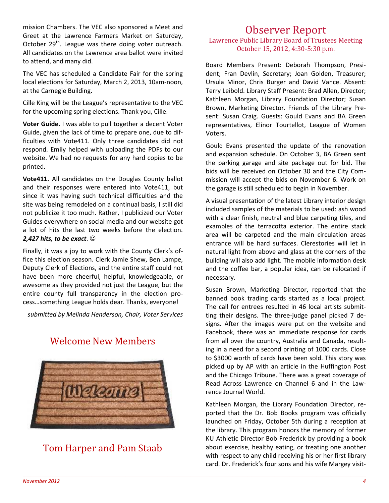mission Chambers. The VEC also sponsored a Meet and Greet at the Lawrence Farmers Market on Saturday, October 29<sup>th</sup>. League was there doing voter outreach. All candidates on the Lawrence area ballot were invited to attend, and many did.

The VEC has scheduled a Candidate Fair for the spring local elections for Saturday, March 2, 2013, 10am-noon, at the Carnegie Building.

Cille King will be the League's representative to the VEC for the upcoming spring elections. Thank you, Cille.

**Voter Guide.** I was able to pull together a decent Voter Guide, given the lack of time to prepare one, due to difficulties with Vote411. Only three candidates did not respond. Emily helped with uploading the PDFs to our website. We had no requests for any hard copies to be printed.

**Vote411.** All candidates on the Douglas County ballot and their responses were entered into Vote411, but since it was having such technical difficulties and the site was being remodeled on a continual basis, I still did not publicize it too much. Rather, I publicized our Voter Guides everywhere on social media and our website got a lot of hits the last two weeks before the election. *2,427 hits, to be exact*. ☺

Finally, it was a joy to work with the County Clerk's office this election season. Clerk Jamie Shew, Ben Lampe, Deputy Clerk of Elections, and the entire staff could not have been more cheerful, helpful, knowledgeable, or awesome as they provided not just the League, but the entire county full transparency in the election process…something League holds dear. Thanks, everyone!

*submitted by Melinda Henderson, Chair, Voter Services* 

## Welcome New Members



## Tom Harper and Pam Staab

### Observer Report

#### Lawrence Public Library Board of Trustees Meeting October 15, 2012, 4:30-5:30 p.m.

Board Members Present: Deborah Thompson, President; Fran Devlin, Secretary; Joan Golden, Treasurer; Ursula Minor, Chris Burger and David Vance. Absent: Terry Leibold. Library Staff Present: Brad Allen, Director; Kathleen Morgan, Library Foundation Director; Susan Brown, Marketing Director. Friends of the Library Present: Susan Craig. Guests: Gould Evans and BA Green representatives, Elinor Tourtellot, League of Women Voters.

Gould Evans presented the update of the renovation and expansion schedule. On October 3, BA Green sent the parking garage and site package out for bid. The bids will be received on October 30 and the City Commission will accept the bids on November 6. Work on the garage is still scheduled to begin in November.

A visual presentation of the latest Library interior design included samples of the materials to be used: ash wood with a clear finish, neutral and blue carpeting tiles, and examples of the terracotta exterior. The entire stack area will be carpeted and the main circulation areas entrance will be hard surfaces. Clerestories will let in natural light from above and glass at the corners of the building will also add light. The mobile information desk and the coffee bar, a popular idea, can be relocated if necessary.

Susan Brown, Marketing Director, reported that the banned book trading cards started as a local project. The call for entrees resulted in 46 local artists submitting their designs. The three-judge panel picked 7 designs. After the images were put on the website and Facebook, there was an immediate response for cards from all over the country, Australia and Canada, resulting in a need for a second printing of 1000 cards. Close to \$3000 worth of cards have been sold. This story was picked up by AP with an article in the Huffington Post and the Chicago Tribune. There was a great coverage of Read Across Lawrence on Channel 6 and in the Lawrence Journal World.

Kathleen Morgan, the Library Foundation Director, reported that the Dr. Bob Books program was officially launched on Friday, October 5th during a reception at the library. This program honors the memory of former KU Athletic Director Bob Frederick by providing a book about exercise, healthy eating, or treating one another with respect to any child receiving his or her first library card. Dr. Frederick's four sons and his wife Margey visit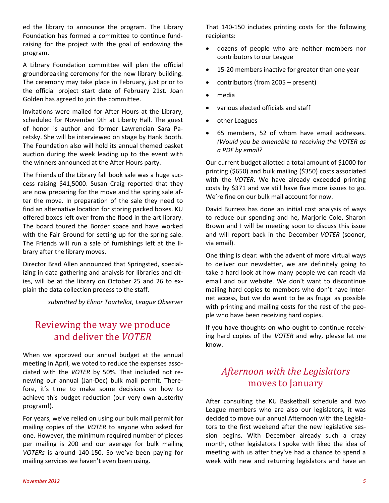ed the library to announce the program. The Library Foundation has formed a committee to continue fundraising for the project with the goal of endowing the program.

A Library Foundation committee will plan the official groundbreaking ceremony for the new library building. The ceremony may take place in February, just prior to the official project start date of February 21st. Joan Golden has agreed to join the committee.

Invitations were mailed for After Hours at the Library, scheduled for November 9th at Liberty Hall. The guest of honor is author and former Lawrencian Sara Paretsky. She will be interviewed on stage by Hank Booth. The Foundation also will hold its annual themed basket auction during the week leading up to the event with the winners announced at the After Hours party.

The Friends of the Library fall book sale was a huge success raising \$41,5000. Susan Craig reported that they are now preparing for the move and the spring sale after the move. In preparation of the sale they need to find an alternative location for storing packed boxes. KU offered boxes left over from the flood in the art library. The board toured the Border space and have worked with the Fair Ground for setting up for the spring sale. The Friends will run a sale of furnishings left at the library after the library moves.

Director Brad Allen announced that Springsted, specializing in data gathering and analysis for libraries and cities, will be at the library on October 25 and 26 to explain the data collection process to the staff.

*submitted by Elinor Tourtellot, League Observer* 

## Reviewing the way we produce and deliver the *VOTER*

When we approved our annual budget at the annual meeting in April, we voted to reduce the expenses associated with the *VOTER* by 50%. That included not renewing our annual (Jan-Dec) bulk mail permit. Therefore, it's time to make some decisions on how to achieve this budget reduction (our very own austerity program!).

For years, we've relied on using our bulk mail permit for mailing copies of the *VOTER* to anyone who asked for one. However, the minimum required number of pieces per mailing is 200 and our average for bulk mailing *VOTERs* is around 140-150. So we've been paying for mailing services we haven't even been using.

That 140-150 includes printing costs for the following recipients:

- dozens of people who are neither members nor contributors to our League
- 15-20 members inactive for greater than one year
- contributors (from 2005 present)
- media
- various elected officials and staff
- other Leagues
- 65 members, 52 of whom have email addresses. *(Would you be amenable to receiving the VOTER as a PDF by email?*

Our current budget allotted a total amount of \$1000 for printing (\$650) and bulk mailing (\$350) costs associated with the *VOTER*. We have already exceeded printing costs by \$371 and we still have five more issues to go. We're fine on our bulk mail account for now.

David Burress has done an initial cost analysis of ways to reduce our spending and he, Marjorie Cole, Sharon Brown and I will be meeting soon to discuss this issue and will report back in the December *VOTER* (sooner, via email).

One thing is clear: with the advent of more virtual ways to deliver our newsletter, we are definitely going to take a hard look at how many people we can reach via email and our website. We don't want to discontinue mailing hard copies to members who don't have Internet access, but we do want to be as frugal as possible with printing and mailing costs for the rest of the people who have been receiving hard copies.

If you have thoughts on who ought to continue receiving hard copies of the *VOTER* and why, please let me know.

## *Afternoon with the Legislators*  moves to January

After consulting the KU Basketball schedule and two League members who are also our legislators, it was decided to move our annual Afternoon with the Legislators to the first weekend after the new legislative session begins. With December already such a crazy month, other legislators I spoke with liked the idea of meeting with us after they've had a chance to spend a week with new and returning legislators and have an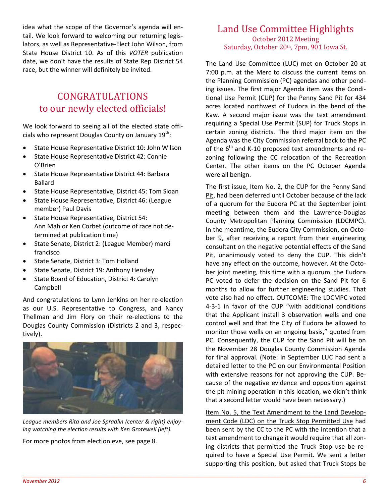idea what the scope of the Governor's agenda will entail. We look forward to welcoming our returning legislators, as well as Representative-Elect John Wilson, from State House District 10. As of this *VOTER* publication date, we don't have the results of State Rep District 54 race, but the winner will definitely be invited.

## CONGRATULATIONS to our newly elected officials!

We look forward to seeing all of the elected state officials who represent Douglas County on January  $19^{th}$ :

- State House Representative District 10: John Wilson
- State House Representative District 42: Connie O'Brien
- State House Representative District 44: Barbara Ballard
- State House Representative, District 45: Tom Sloan
- State House Representative, District 46: (League member) Paul Davis
- State House Representative, District 54: Ann Mah or Ken Corbet (outcome of race not determined at publication time)
- State Senate, District 2: (League Member) marci francisco
- State Senate, District 3: Tom Holland
- State Senate, District 19: Anthony Hensley
- State Board of Education, District 4: Carolyn Campbell

And congratulations to Lynn Jenkins on her re-election as our U.S. Representative to Congress, and Nancy Thellman and Jim Flory on their re-elections to the Douglas County Commission (Districts 2 and 3, respectively).



*League members Rita and Joe Spradlin (center & right) enjoying watching the election results with Ken Groteweil (left).* 

For more photos from election eve, see page 8.

#### Land Use Committee Highlights October 2012 Meeting Saturday, October 20th, 7pm, 901 Iowa St.

The Land Use Committee (LUC) met on October 20 at 7:00 p.m. at the Merc to discuss the current items on the Planning Commission (PC) agendas and other pending issues. The first major Agenda item was the Conditional Use Permit (CUP) for the Penny Sand Pit for 434 acres located northwest of Eudora in the bend of the Kaw. A second major issue was the text amendment requiring a Special Use Permit (SUP) for Truck Stops in certain zoning districts. The third major item on the Agenda was the City Commission referral back to the PC of the  $6<sup>th</sup>$  and K-10 proposed text amendments and rezoning following the CC relocation of the Recreation Center. The other items on the PC October Agenda were all benign.

The first issue, Item No. 2, the CUP for the Penny Sand Pit, had been deferred until October because of the lack of a quorum for the Eudora PC at the September joint meeting between them and the Lawrence-Douglas County Metropolitan Planning Commission (LDCMPC). In the meantime, the Eudora City Commission, on October 9, after receiving a report from their engineering consultant on the negative potential effects of the Sand Pit, unanimously voted to deny the CUP. This didn't have any effect on the outcome, however. At the October joint meeting, this time with a quorum, the Eudora PC voted to defer the decision on the Sand Pit for 6 months to allow for further engineering studies. That vote also had no effect. OUTCOME: The LDCMPC voted 4-3-1 in favor of the CUP "with additional conditions that the Applicant install 3 observation wells and one control well and that the City of Eudora be allowed to monitor those wells on an ongoing basis," quoted from PC. Consequently, the CUP for the Sand Pit will be on the November 28 Douglas County Commission Agenda for final approval. (Note: In September LUC had sent a detailed letter to the PC on our Environmental Position with extensive reasons for not approving the CUP. Because of the negative evidence and opposition against the pit mining operation in this location, we didn't think that a second letter would have been necessary.)

Item No. 5, the Text Amendment to the Land Development Code (LDC) on the Truck Stop Permitted Use had been sent by the CC to the PC with the intention that a text amendment to change it would require that all zoning districts that permitted the Truck Stop use be required to have a Special Use Permit. We sent a letter supporting this position, but asked that Truck Stops be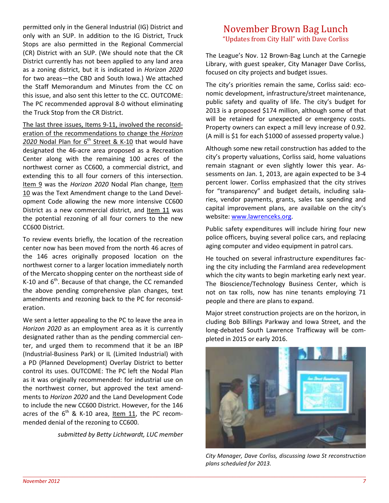permitted only in the General Industrial (IG) District and only with an SUP. In addition to the IG District, Truck Stops are also permitted in the Regional Commercial (CR) District with an SUP. (We should note that the CR District currently has not been applied to any land area as a zoning district, but it is indicated in *Horizon 2020* for two areas—the CBD and South Iowa.) We attached the Staff Memorandum and Minutes from the CC on this issue, and also sent this letter to the CC. OUTCOME: The PC recommended approval 8-0 without eliminating the Truck Stop from the CR District.

The last three issues, Items 9-11, involved the reconsideration of the recommendations to change the *Horizon*  2020 Nodal Plan for 6<sup>th</sup> Street & K-10 that would have designated the 46-acre area proposed as a Recreation Center along with the remaining 100 acres of the northwest corner as CC600, a commercial district, and extending this to all four corners of this intersection. Item 9 was the *Horizon 2020* Nodal Plan change, Item 10 was the Text Amendment change to the Land Development Code allowing the new more intensive CC600 District as a new commercial district, and Item 11 was the potential rezoning of all four corners to the new CC600 District.

To review events briefly, the location of the recreation center now has been moved from the north 46 acres of the 146 acres originally proposed location on the northwest corner to a larger location immediately north of the Mercato shopping center on the northeast side of K-10 and  $6<sup>th</sup>$ . Because of that change, the CC remanded the above pending comprehensive plan changes, text amendments and rezoning back to the PC for reconsideration.

We sent a letter appealing to the PC to leave the area in *Horizon 2020* as an employment area as it is currently designated rather than as the pending commercial center, and urged them to recommend that it be an IBP (Industrial-Business Park) or IL (Limited Industrial) with a PD (Planned Development) Overlay District to better control its uses. OUTCOME: The PC left the Nodal Plan as it was originally recommended: for industrial use on the northwest corner, but approved the text amendments to *Horizon 2020* and the Land Development Code to include the new CC600 District. However, for the 146 acres of the  $6<sup>th</sup>$  & K-10 area, <u>Item 11</u>, the PC recommended denial of the rezoning to CC600.

*submitted by Betty Lichtwardt, LUC member* 

#### November Brown Bag Lunch "Updates from City Hall" with Dave Corliss

The League's Nov. 12 Brown-Bag Lunch at the Carnegie Library, with guest speaker, City Manager Dave Corliss, focused on city projects and budget issues.

The city's priorities remain the same, Corliss said: economic development, infrastructure/street maintenance, public safety and quality of life. The city's budget for 2013 is a proposed \$174 million, although some of that will be retained for unexpected or emergency costs. Property owners can expect a mill levy increase of 0.92. (A mill is \$1 for each \$1000 of assessed property value.)

Although some new retail construction has added to the city's property valuations, Corliss said, home valuations remain stagnant or even slightly lower this year. Assessments on Jan. 1, 2013, are again expected to be 3-4 percent lower. Corliss emphasized that the city strives for "transparency" and budget details, including salaries, vendor payments, grants, sales tax spending and capital improvement plans, are available on the city's website: www.lawrenceks.org.

Public safety expenditures will include hiring four new police officers, buying several police cars, and replacing aging computer and video equipment in patrol cars.

He touched on several infrastructure expenditures facing the city including the Farmland area redevelopment which the city wants to begin marketing early next year. The Bioscience/Technology Business Center, which is not on tax rolls, now has nine tenants employing 71 people and there are plans to expand.

Major street construction projects are on the horizon, in cluding Bob Billings Parkway and Iowa Street, and the long-debated South Lawrence Trafficway will be completed in 2015 or early 2016.



*City Manager, Dave Corliss, discussing Iowa St reconstruction plans scheduled for 2013.*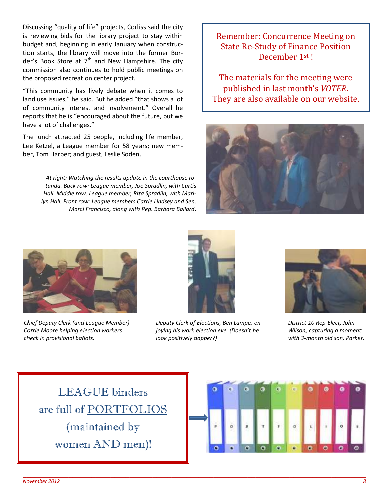Discussing "quality of life" projects, Corliss said the city is reviewing bids for the library project to stay within budget and, beginning in early January when construction starts, the library will move into the former Border's Book Store at  $7<sup>th</sup>$  and New Hampshire. The city commission also continues to hold public meetings on the proposed recreation center project.

"This community has lively debate when it comes to land use issues," he said. But he added "that shows a lot of community interest and involvement." Overall he reports that he is "encouraged about the future, but we have a lot of challenges."

The lunch attracted 25 people, including life member, Lee Ketzel, a League member for 58 years; new member, Tom Harper; and guest, Leslie Soden.

> *At right: Watching the results update in the courthouse rotunda. Back row: League member, Joe Spradlin, with Curtis Hall. Middle row: League member, Rita Spradlin, with Marilyn Hall. Front row: League members Carrie Lindsey and Sen. Marci Francisco, along with Rep. Barbara Ballard.*

## Remember: Concurrence Meeting on State Re-Study of Finance Position December 1st !

The materials for the meeting were published in last month's *VOTER*. They are also available on our website.





*Chief Deputy Clerk (and League Member) Carrie Moore helping election workers check in provisional ballots.*



*Deputy Clerk of Elections, Ben Lampe, enjoying his work election eve. (Doesn't he look positively dapper?)*



*District 10 Rep-Elect, John Wilson, capturing a moment with 3-month old son, Parker.*

LEAGUE binders are full of PORTFOLIOS (maintained by women AND men)!